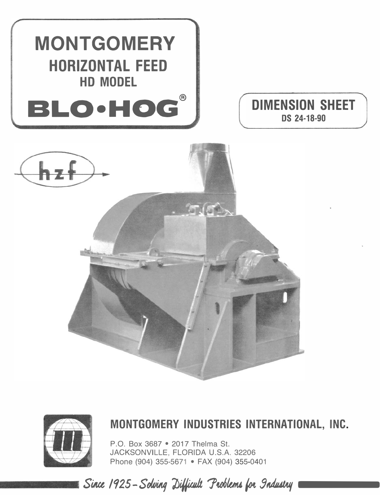







## MONTGOMERY INDUSTRIES INTERNATIONAL, INC.

P.O. Box 3687 . 2017 Thelma St. JACKSONVILLE, FLORIDA U.S.A. 32206 Phone (904) 355-5671 · FAX (904) 355-0401

Since 1925 - Solving Difficult Problems for Industry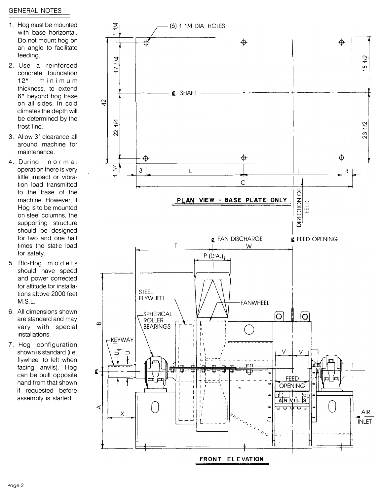## **GENERAL NOTES**

- 1. Hog must be mounted with base horizontal. Do not mount hog on an angle to facilitate feeding.
- 2. Use a reinforced concrete foundation  $12"$  $minima$ thickness, to extend 6" bevond hog base on all sides. In cold climates the depth will be determined by the frost line.
- 3. Allow 3' clearance all around machine for maintenance.
- 4. During  $normal$ operation there is very little impact or vibration load transmitted to the base of the machine. However, if Hog is to be mounted on steel columns, the supporting structure should be designed for two and one half times the static load for safety.
- 5. Blo-Hog models should have speed and power corrected for altitude for installations above 2000 feet  $M.S.L.$
- 6. All dimensions shown are standard and may vary with special installations.
- 7. Hog configuration shown is standard (i.e. flywheel to left when facing anvils). Hog can be built opposite hand from that shown if requested before assembly is started.

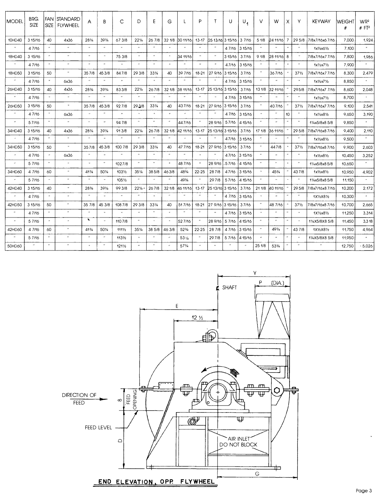| MODEL                       | BRG.<br>SIZE   | <b>FAN</b><br><b>SIZE</b> | <b>STANDARD</b><br><b>FLYWHEEL</b> | A                          | B                           | C                    | D                     | E                    | G                     |                          | P                        | Τ                | U              | $U_{1}$ | V                 | W                     | X                          | Υ                        | <b>KEYWAY</b>                | WEIGH1<br># | WR <sup>2</sup><br>$#$ FT <sup>2</sup> |
|-----------------------------|----------------|---------------------------|------------------------------------|----------------------------|-----------------------------|----------------------|-----------------------|----------------------|-----------------------|--------------------------|--------------------------|------------------|----------------|---------|-------------------|-----------------------|----------------------------|--------------------------|------------------------------|-------------|----------------------------------------|
| 10HD40                      | 3 15/16        | 40                        | 4x36                               | 28%                        | 393/4                       | 67 3/8               | $22\frac{1}{4}$       | 26 7/8               | 32 1/8                | 30 11/16                 | $13 - 17$                | 25 13/16 3 15/16 |                | 3 7/16  | 51/8              | 24 11/16              | $\overline{7}$             |                          | 29 5/8 7/8x7/16x6 7/16       | 7,000       | 1,924                                  |
| $\mathcal{U}$               | 47/16          | $\boldsymbol{\theta}$     | $^{\prime\prime}$                  | $\boldsymbol{\cdot}$       | $^{\prime\prime}$           |                      | $\cdot$               | $^{\prime\prime}$    | $\overline{u}$        | 'n.                      | $^{\prime\prime}$        |                  | 47/16          | 3 15/16 |                   |                       |                            | $^{\prime\prime}$        | 1x1/2x61/2                   | 7,100       | $\boldsymbol{\mu}$                     |
| 18HD40                      | 3 15/16        | $\boldsymbol{\mu}$        | $\pmb{\cdot}$                      | $\boldsymbol{\theta}$      | $\mathbf{a}$                | 75 3/8               | $\boldsymbol{\theta}$ | $\pmb{\cdot}$        | $\overline{u}$        | 34 11/16                 | $\boldsymbol{\mu}$       |                  | 3 15/16        | 37/16   | 91/8              | 28 11/16              | 8                          | $\boldsymbol{u}$         | 7/8x7/16x7 7/16              | 7,800       | 1,986                                  |
| $\alpha$                    | 47/16          | $\boldsymbol{\cdot}$      | $\cdot$                            | $\cdot$                    | $\overline{u}$              | $\ddot{\phantom{a}}$ | $\overline{ }$        | $\cdot$              | $\overline{u}$        | $\overline{u}$           | $\overline{u}$           |                  | 47/16          | 3 15/16 |                   |                       |                            | $^{\prime\prime}$        | $1x\frac{1}{2}x7\frac{1}{2}$ | 7,900       | $\mathbf{a}$                           |
| <b>18HD50</b>               | 3 15/16        | 50                        | $\pmb{\cdot}$                      | 357/8                      | 453/8                       | 847/8                | 29 3/8                | 331/4                | 40                    | 39 7/16                  | 18-21                    | 27 9/16          | 3 15/16        | 37/16   |                   | 367/16                |                            | $37\frac{1}{2}$          | 7/8x7/16x7 7/16              | 8,300       | 2,479                                  |
| $\boldsymbol{\prime}$       | 47/16          | $\boldsymbol{\prime}$     | 6x36                               | $\boldsymbol{\mu}$         | $^{\prime\prime}$           |                      | $\overline{u}$        | $\alpha$             | $\overline{u}$        | $\cdot$                  | $^{\prime\prime}$        |                  | 47/16          | 3 15/16 |                   |                       | $\cdot$                    | $\boldsymbol{\theta}$    | $1x\frac{1}{2}x\frac{7}{2}$  | 8,850       | $\boldsymbol{u}$                       |
| 26HD40                      | 3 15/16        | 40                        | 4x36                               | $28\frac{3}{4}$            | $39^{3}/4$                  | 833/8                | $22\frac{1}{4}$       | 267/8                | 32 1/8                | 38 11/16                 | $13 - 17$                | 25 13/16         | 3 15/16        | 37/16   | 13 1/8            | 32 11/16              |                            | 295/8                    | 7/8x7/16x7 7/16              | 8,600       | 2,048                                  |
| $\pmb{\cdot}$               | 47/16          |                           | $\boldsymbol{\cdot}$               | $\lambda$                  | $\cdots$                    |                      | $^{\prime\prime}$     |                      |                       |                          |                          |                  | 4 7/16         | 3 15/16 |                   |                       |                            |                          | $1x\frac{1}{2}x7\frac{1}{2}$ | 8,700       |                                        |
| 26HD50                      | 3 15/16        | 50                        | $\alpha$                           | 357/8                      | 453/8                       | 927/8                | 293/8                 | 331/4                | 40                    | 437/16                   | 18-21                    | 27 9/16          | 3 15/16        | 37/16   |                   | 407/16                |                            | $37\frac{1}{2}$          | 7/8x7/16x7 7/16              | 9,100       | 2,541                                  |
| $\boldsymbol{\theta}$       | 4 7/16         | $\boldsymbol{\cdot}$      | 6x36                               | $\mathbf{u}$               | $^{\prime\prime}$           | $^{\prime\prime}$    | $\alpha$              | $\overline{u}$       | $^{\prime}$           | $\boldsymbol{\cdot}$     | $^{\prime\prime}$        |                  | 47/16          | 3 15/16 |                   | $\overline{u}$        | 10                         | $\boldsymbol{\theta}$    | $1x\frac{1}{2}x8\frac{1}{2}$ | 9,650       | 3,190                                  |
| $\boldsymbol{\mu}$          | 57/16          | $\overline{u}$            | $\alpha$                           | $\mathbf{r}$               | $\boldsymbol{\mu}$          | 94 7/8               | $\boldsymbol{\mu}$    | $\cdots$             | $\overline{u}$        | 447/16                   | $\cdot$                  | 28 9/16          | 57/16          | 4 15/16 | $^{\prime\prime}$ | $\overline{u}$        | $^{\prime}$                | $^{\prime\prime}$        | 11/ <sub>4</sub> x5/8x8 5/8  | 9,850       | $\alpha$                               |
| 34HD40                      | 3 15/16        | 40                        | 4x36                               | 28%                        | 39%                         | 913/8                | $22\frac{1}{4}$       | 267/8                | 32 1/8                | 12 11/16                 | $13 - 17$                | 25 13/16         | 3 15/16        | 37/16   | 17 1/8            | 36 11/16              |                            | 29 5/8                   | 7/8x7/16x8 7/16              | 9,400       | 2,110                                  |
| $\mathcal{L}^{\mu}$         | 47/16          | $\boldsymbol{\theta}$     | $\boldsymbol{\theta}$              | $\pmb{\mu}$                | $\boldsymbol{\mu}$          | $^{\prime\prime}$    | $\boldsymbol{\cdot}$  | $^{\prime\prime}$    | $\cdot$               |                          | $\ddot{\phantom{a}}$     |                  | 47/16          | 3 15/16 | $\overline{u}$    |                       | $\overline{\phantom{a}}$   | $\boldsymbol{\theta}$    | $1x\frac{1}{2}x8\frac{1}{2}$ | 9,500       | $\boldsymbol{\mu}$                     |
| 34HD50                      | 3 15/16        | 50                        | $\boldsymbol{\theta}$              | 357/8                      | 453/8                       | 100 7/8              | 29 3/8                | $33\%$               | 40                    | 47 7/16                  | 18-21                    | 27 9/16          | 3 15/16        | 37/16   | $^{\prime\prime}$ | 447/8                 |                            | $37\frac{1}{2}$          | 7/8x7/16x8 7/16              | 9,900       | 2,603                                  |
| $\mathcal{M}$               | 47/16          | $\boldsymbol{\mu}$        | 6x36                               | $\overline{u}$             | $\bullet$                   |                      | $\cdot$               | $\cdots$             | $^{\prime\prime}$     |                          |                          |                  | 47/16          | 3 15/16 | $^{\prime\prime}$ | $\boldsymbol{\mu}$    | $\overline{u}$             | $\boldsymbol{\theta}$    | $1x\frac{1}{2}x8\frac{1}{2}$ | 10,450      | 3,252                                  |
| $\mathcal{F}^{\mathcal{E}}$ | 5 7/16         | $^{\prime\prime}$         | $\ddot{\phantom{a}}$               | $\alpha$                   | $\pmb{\cdot}$               | 1027/8               | $\overline{u}$        | $\cdots$             | $\boldsymbol{\theta}$ | 487/16                   | $\cdot$                  | 28 9/16          | 57/16          | 4 15/16 | $^{\prime\prime}$ | $\overline{u}$        | $\overline{a}$             | $\cdot$                  | 11/4x5/8x85/8                | 10,650      | $\overline{u}$                         |
| 34HD60                      | 4 7/16         | 60                        | $\boldsymbol{\theta}$              | $41\frac{3}{4}$            | 501/4                       | $103\frac{1}{2}$     | 351/4                 | 385/8                | 463/8                 | 483/4                    | $22 - 25$                | 287/8            | 47/16          | 3 15/16 |                   | $45\frac{3}{4}$       |                            | 437/8                    | $1x\frac{1}{2}x8\frac{1}{2}$ | 10,950      | 4,902                                  |
| $\boldsymbol{\theta}$       | 57/16          | $\boldsymbol{\alpha}$     | $\boldsymbol{\mathcal{H}}$         | $\pmb{\cdot}$              | $\boldsymbol{\cdot}$        | 1051/2               | $\overline{u}$        | $\ddot{\phantom{0}}$ | $\boldsymbol{\theta}$ | 493/4                    | $\boldsymbol{\theta}$    | 297/8            | 57/16          | 4 15/16 | $^{\prime\prime}$ | $\bullet$             | $\overline{a}$             | $\cdot$                  | 11/ <sub>4</sub> x5/8x85/8   | 11,150      | $\hat{\boldsymbol{\theta}}$            |
| 42HD40                      | 3 15/16        | 40                        | $\pmb{\cdot}$                      | $28\%$                     | $39^{3}/4$                  | 99 3/8               | $22\frac{1}{4}$       | 267/8                | 32 1/8                | 16 11/16                 | $13 - 17$                | 25 13/16         | 3 15/16        | 37/16   | 21 1/8            | 40 11/16              |                            | 29 5/8                   | 7/8x7/16x87/16               | 10,200      | 2.172                                  |
| $\boldsymbol{\alpha}$       | 47/16          | $\theta$                  | $\boldsymbol{\mu}$                 | $\boldsymbol{\mathcal{H}}$ | $\alpha$                    | $\overline{ }$       | $\boldsymbol{\cdot}$  | $\alpha$             | $\cdot$               | $\overline{\phantom{a}}$ | $\cdot$                  | $^{\prime}$      | 4 7/16         | 3 15/16 |                   | $\overline{u}$        | $\overline{\phantom{a}}$   | $\overline{a}$           | 1X1/2X81/2                   | 10,300      | $\mathbf{u}$                           |
| 42HD50                      | 3 15/16        | 50                        | $^{\prime\prime}$                  | 35 7/8                     | 45 3/8                      | 108 7/8              | 29 3/8                | $33\frac{1}{4}$      | 40                    | 517/16                   | 18-21                    | 27 9/16          | 3 15/16        | 37/16   |                   | 48 7/16               |                            | $37\frac{1}{2}$          | 7/8x7/16x8 7/16              | 10.700      | 2.665                                  |
| $\boldsymbol{\prime}$       | 4 7/16         | $\boldsymbol{\theta}$     | $\boldsymbol{\mathcal{U}}$         | $\cdot$                    | $\boldsymbol{\cdot}$        |                      | $\boldsymbol{\mu}$    | $\boldsymbol{\mu}$   | $\boldsymbol{\alpha}$ | $^{\prime\prime}$        | $\boldsymbol{\theta}$    |                  | 47/16          | 3 15/16 | $\cdot$           | $^{\prime\prime}$     | $\boldsymbol{\theta}$      | $\overline{u}$           | $1X\frac{1}{2}x8\frac{1}{2}$ | 11,250      | 3,314                                  |
| $\boldsymbol{\mu}$          | 5 7/16         | $\boldsymbol{\mu}$        | $\overline{\phantom{a}}$           | ۰,                         | $\boldsymbol{\theta}$       | 110 7/8              | $\overline{u}$        | $\alpha$             | $\boldsymbol{u}$      | 527/16                   | $\overline{\phantom{a}}$ | 28 9/16          | 5 7/16         | 4 15/16 | $^{\prime\prime}$ | $\boldsymbol{\prime}$ | $\boldsymbol{\mathcal{H}}$ | $\overline{\phantom{a}}$ | 11/4X5/8X8 5/8               | 11,450      | 3,318                                  |
| 42HD60                      | 4 7/16         | 60                        | $\pmb{\cdot}$                      | $41^{3}/4$                 | 501/4                       | $111\frac{1}{2}$     | $35\%$                | 38 5/8               | 46 3/8                | $52\frac{3}{4}$          | $22 - 25$                | 28 7/8           | 47/16          | 3 15/16 | $\cdot$           | $49\frac{3}{4}$       |                            | 43 7/8                   | 1X1/2X81/2                   | 11,750      | 4,964                                  |
| $\boldsymbol{\mu}$          | 5 7/16         | $\pmb{\cdot}$             | $\pmb{\cdot}$                      | $^{\prime\prime}$          | $\boldsymbol{\prime\prime}$ | $113\frac{1}{2}$     | $\boldsymbol{\alpha}$ | $^{\prime\prime}$    | $\boldsymbol{\mu}$    | 53%                      | $^{\prime\prime}$        | 297/8            | 57/16          | 4 15/16 | $\cdot$           | $\boldsymbol{\theta}$ | $\overline{\mathbf{r}}$    | $\overline{u}$           | 11/4X5/8X8 5/8               | 11,950      | $\boldsymbol{\mathcal{U}}$             |
| 50HD60                      | $\overline{a}$ | $\cdot$                   | $^{\prime\prime}$                  | $\overline{u}$             | $\cdots$                    | $121\frac{1}{2}$     |                       | $^{\prime\prime}$    |                       | $57\frac{3}{4}$          |                          |                  | $\overline{u}$ |         | 25 1/8            | 53%                   |                            |                          | $\pmb{\cdot}$                | 12,750      | .5,026                                 |